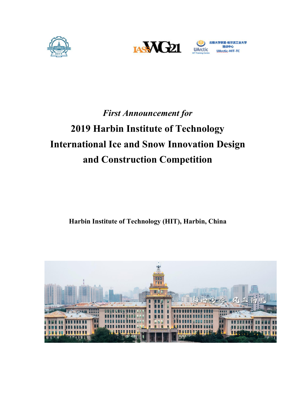





# *First Announcement for* **2019 Harbin Institute of Technology International Ice and Snow Innovation Design and Construction Competition**

**Harbin Institute of Technology (HIT), Harbin, China**

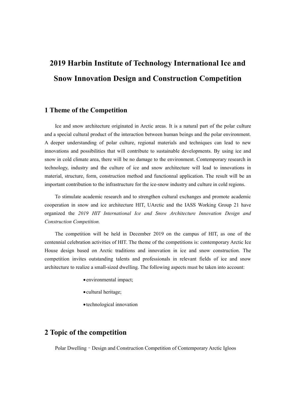## **2019 Harbin Institute of Technology International Ice and Snow Innovation Design and Construction Competition**

#### **1 Theme of the Competition**

Ice and snow architecture originated in Arctic areas. It is a natural part of the polar culture and a special cultural product of the interaction between human beings and the polar environment. A deeper understanding of polar culture, regional materials and techniques can lead to new innovations and possibilities that will contribute to sustainable developments. By using ice and snow in cold climate area, there will be no damage to the environment. Contemporary research in technology, industry and the culture of ice and snow architecture will lead to innovations in material, structure, form, construction method and functionnal application. The result will be an important contribution to the infrastructure for the ice-snow industry and culture in cold regions.

To stimulate academic research and to strengthen cultural exchanges and promote academic cooperation in snow and ice architecture HIT, UArctic and the IASS Working Group 21 have organized the *2019 HIT International Ice and Snow Architecture Innovation Design and Construction Competition.*

The competition will be held in December 2019 on the campus of HIT, as one of the centennial celebration activities of HIT. The theme of the competitions is: contemporary Arctic Ice House design based on Arctic traditions and innovation in ice and snow construction. The competition invites outstanding talents and professionals in relevant fields of ice and snow architecture to realize a small-sized dwelling. The following aspects must be taken into account:

- environmental impact;
- cultural heritage;
- technological innovation

## **2 Topic of the competition**

Polar Dwelling–Design and Construction Competition of Contemporary Arctic Igloos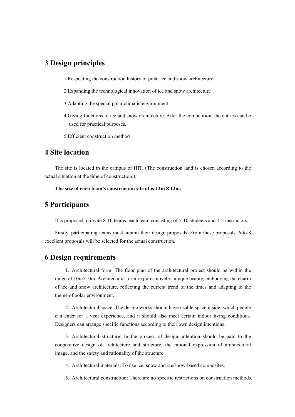### **3 Design principles**

1.Respecting the construction history of polar ice and snow architecture

- 2.Expanding the technological innovation of ice and snow architecture
- 3.Adapting the special polar climatic environment
- 4.Giving functions to ice and snow architecture. After the competition, the entries can be used for practical purposes.
- 5.Efficient construction method

### **4 Site location**

The site islocated in the campus of HIT. (The construction land is chosen according to the actual situation at the time of construction.)

**The** size of each team's construction site of is  $12m \times 12m$ .

#### **5 Participants**

It is proposed to invite 8-10 teams, each team consisting of 5-10 students and 1-2 instructors.<br>Firstly, participating teams must submit their design proposals. From these proposals ,6 to 8

excellent proposals will be selected for the actual construction.

#### **6 Design requirements**

1. Architectural form: The floor plan of the architectural project should be within the range of 10m×10m. Architectural form requires novelty, unique beauty, embodying the charm of ice and snow architecture, reflecting the current trend of the times and adapting to the theme of polar environment.

2. Architectural space: The design works should have usable space inside, which people can enter for a visit experience, and it should also meet certain indoor living conditions. Designers can arrange specific functions according to their own design intentions.

3. Architectural structure: In the process of design, attention should be paid to the cooperative design of architecture and structure, the rational expression of architectural image, and the safety and rationality of the structure.

- 4. Architectural materials: To use ice, snow and ice/snow-based composites.
- 5. Architectural construction: There are no specific restrictions on construction methods,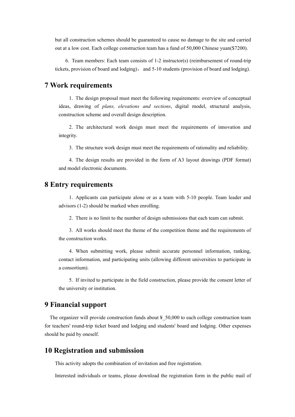but all construction schemes should be guaranteed to cause no damage to the site and carried out at a low cost. Each college construction team has a fund of 50,000 Chinese yuan(\$7200).

6. Team members: Each team consists of 1-2 instructor(s) (reimbursement of round-trip tickets, provision of board and lodging), and  $5-10$  students (provision of board and lodging).

## **7 Work requirements**

1. The design proposal must meet the following requirements: overview of conceptual ideas, drawing of *plans, elevations and sections*, digital model, structural analysis, construction scheme and overall design description.

2. The architectural work design must meet the requirements of innovation and integrity.

3. The structure work design must meet the requirements ofrationality and reliability.

4. The design results are provided in the form of A3 layout drawings (PDF format) and model electronic documents.

#### **8 Entry requirements**

1. Applicants can participate alone or as a team with 5-10 people. Team leader and advisors (1-2) should be marked when enrolling.

2. There is no limit to the number of design submissions that each team can submit.

3. All works should meet the theme of the competition theme and the requirements of the construction works.

4. When submitting work, please submit accurate personnel information, ranking, contact information, and participating units (allowing different universities to participate in a consortium).

5. If invited to participate in the field construction, please provide the consent letter of the university or institution.

## **9 Financialsupport**

The organizer will provide construction funds about  $\frac{1}{2}$  50,000 to each college construction team for teachers' round-trip ticket board and lodging and students' board and lodging. Other expenses should be paid by oneself.

## **10 Registration and submission**

This activity adopts the combination of invitation and free registration.

Interested individuals or teams, please download the registration form in the public mail of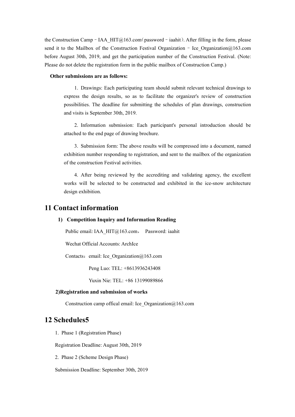the Construction Camp – IAA\_HIT $@163$ .com(password – iaahit). After filling in the form, please send it to the Mailbox of the Construction Festival Organization – Ice Organization $\omega$ 163.com before August 30th, 2019, and get the participation number of the Construction Festival. (Note: Please do not delete the registration form in the public mailbox of Construction Camp.)

#### **Other submissions are as follows:**

1. Drawings: Each participating team should submit relevant technical drawings to express the design results, so as to facilitate the organizer's review of construction possibilities. The deadline for submitting the schedules of plan drawings, construction and visits is September 30th, 2019.

2. Information submission: Each participant's personal introduction should be attached to the end page of drawing brochure.

3. Submission form: The above results will be compressed into a document, named exhibition number responding to registration, and sent to the mailbox of the organization of the construction Festival activities.

4. After being reviewed by the accrediting and validating agency, the excellent works will be selected to be constructed and exhibited in the ice-snow architecture design exhibition.

#### **11 Contact information**

#### **1) Competition Inquiry and Information Reading**

Public email: [IAA\\_HIT@163.com](mailto::%20Ice_Harbin_2018@163.com，%20Password:%20iceharbin2018), Password: iaahit

Wechat Official Accounts: ArchIce

Contacts: email: Ice Organization $@163$ .com

Peng Luo: TEL: +8613936243408

Yuxin Nie: TEL: +86 13199089866

#### **2)Registration and submission of works**

Construction camp offical email: Ice\_Organization@163.com

#### **12 Schedules5**

1. Phase 1 (Registration Phase)

Registration Deadline: August 30th, 2019

2. Phase 2 (Scheme Design Phase)

Submission Deadline: September 30th, 2019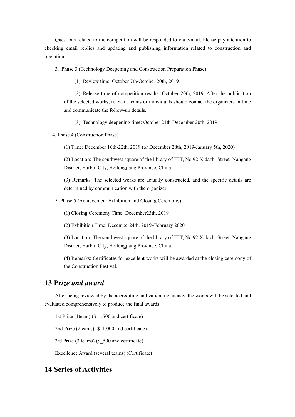Questions related to the competition will be responded to via e-mail.Please pay attention to checking email replies and updating and publishing information related to construction and operation.

3. Phase 3 (Technology Deepening and Construction Preparation Phase)

(1) Review time: October 7th-October 20th, 2019

(2) Release time of competition results: October 20th, 2019. After the publication of the selected works, relevant teams or individuals should contact the organizers in time and communicate the follow-up details.

(3) Technology deepening time: October 21th-December 20th, 2019

4. Phase 4 (Construction Phase)

(1) Time: December 16th-22th, 2019 (or December 28th, 2019-January 5th, 2020)

(2) Location: The southwest square of the library of HIT, No.92 Xidazhi Street, Nangang District, Harbin City, Heilongjiang Province, China.

(3) Remarks: The selected works are actually constructed, and the specific details are determined by communication with the organizer.

5. Phase 5 (Achievement Exhibition and Closing Ceremony)

(1) Closing Ceremony Time: December23th, 2019

(2) Exhibition Time: December24th, 2019–February 2020

(3) Location: The southwest square of the library of HIT, No.92 Xidazhi Street, Nangang District, Harbin City, Heilongjiang Province, China.

(4) Remarks: Certificates for excellent works will be awarded at the closing ceremony of the Construction Festival.

#### **13 P***rize and award*

After being reviewed by the accrediting and validating agency, the works will be selected and evaluated comprehensively to produce the final awards.

1st Prize (1team) (\$\_1,500 and certificate)

2nd Prize (2teams) (\$ 1,000 and certificate)

3rd Prize (3 teams) (\$\_500 and certificate)

Excellence Award (several teams) (Certificate)

## **14 Series of Activities**